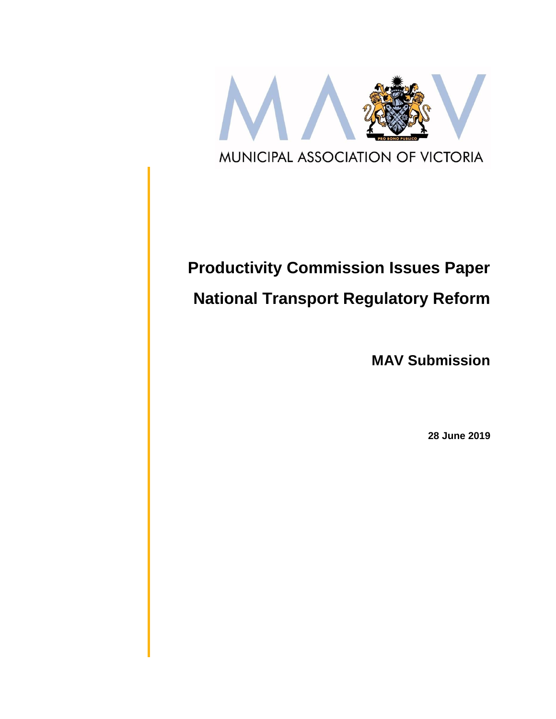

# **Productivity Commission Issues Paper National Transport Regulatory Reform**

**MAV Submission**

**28 June 2019**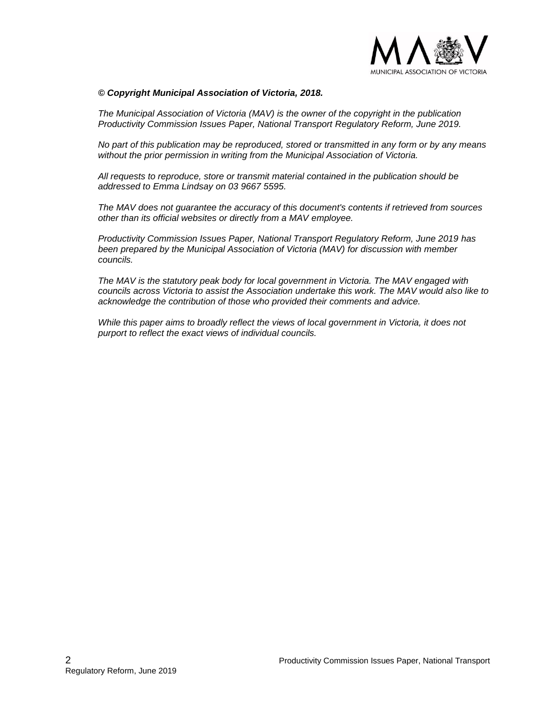

#### *© Copyright Municipal Association of Victoria, 2018.*

*The Municipal Association of Victoria (MAV) is the owner of the copyright in the publication Productivity Commission Issues Paper, National Transport Regulatory Reform, June 2019.* 

*No part of this publication may be reproduced, stored or transmitted in any form or by any means without the prior permission in writing from the Municipal Association of Victoria.* 

*All requests to reproduce, store or transmit material contained in the publication should be addressed to Emma Lindsay on 03 9667 5595.* 

*The MAV does not guarantee the accuracy of this document's contents if retrieved from sources other than its official websites or directly from a MAV employee.*

*Productivity Commission Issues Paper, National Transport Regulatory Reform, June 2019 has been prepared by the Municipal Association of Victoria (MAV) for discussion with member councils.*

*The MAV is the statutory peak body for local government in Victoria. The MAV engaged with councils across Victoria to assist the Association undertake this work. The MAV would also like to acknowledge the contribution of those who provided their comments and advice.* 

*While this paper aims to broadly reflect the views of local government in Victoria, it does not purport to reflect the exact views of individual councils.*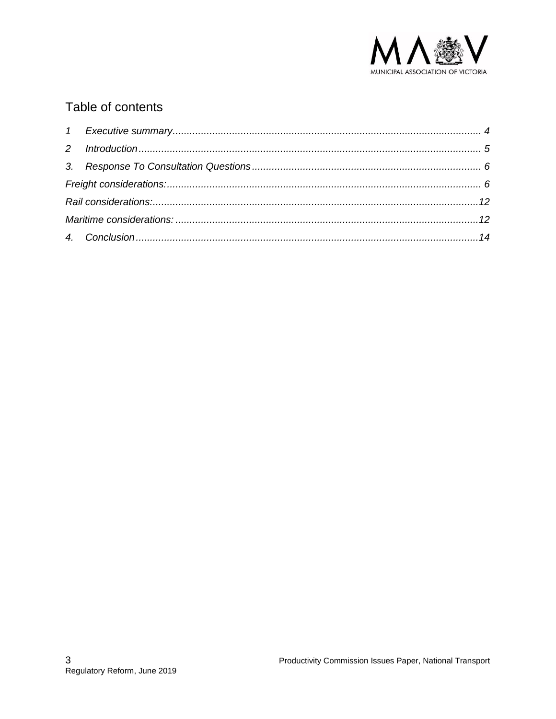

# Table of contents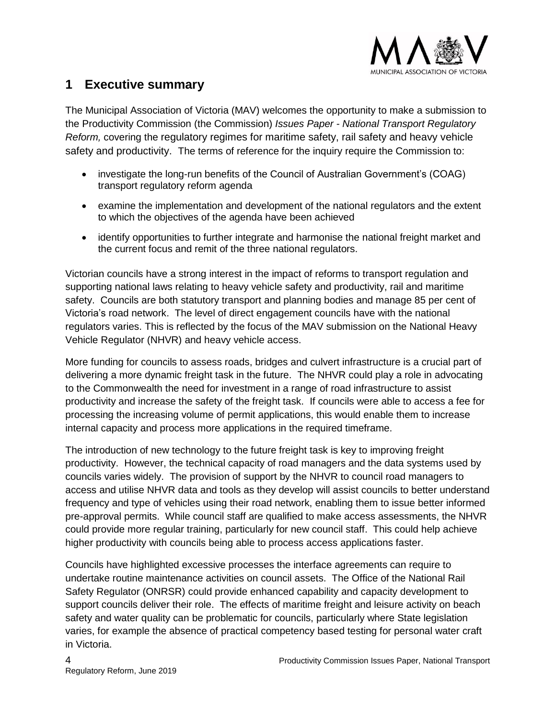

## <span id="page-3-0"></span>**1 Executive summary**

The Municipal Association of Victoria (MAV) welcomes the opportunity to make a submission to the Productivity Commission (the Commission) *Issues Paper - National Transport Regulatory Reform,* covering the regulatory regimes for maritime safety, rail safety and heavy vehicle safety and productivity. The terms of reference for the inquiry require the Commission to:

- investigate the long-run benefits of the Council of Australian Government's (COAG) transport regulatory reform agenda
- examine the implementation and development of the national regulators and the extent to which the objectives of the agenda have been achieved
- identify opportunities to further integrate and harmonise the national freight market and the current focus and remit of the three national regulators.

Victorian councils have a strong interest in the impact of reforms to transport regulation and supporting national laws relating to heavy vehicle safety and productivity, rail and maritime safety. Councils are both statutory transport and planning bodies and manage 85 per cent of Victoria's road network. The level of direct engagement councils have with the national regulators varies. This is reflected by the focus of the MAV submission on the National Heavy Vehicle Regulator (NHVR) and heavy vehicle access.

More funding for councils to assess roads, bridges and culvert infrastructure is a crucial part of delivering a more dynamic freight task in the future. The NHVR could play a role in advocating to the Commonwealth the need for investment in a range of road infrastructure to assist productivity and increase the safety of the freight task. If councils were able to access a fee for processing the increasing volume of permit applications, this would enable them to increase internal capacity and process more applications in the required timeframe.

The introduction of new technology to the future freight task is key to improving freight productivity. However, the technical capacity of road managers and the data systems used by councils varies widely. The provision of support by the NHVR to council road managers to access and utilise NHVR data and tools as they develop will assist councils to better understand frequency and type of vehicles using their road network, enabling them to issue better informed pre-approval permits. While council staff are qualified to make access assessments, the NHVR could provide more regular training, particularly for new council staff. This could help achieve higher productivity with councils being able to process access applications faster.

Councils have highlighted excessive processes the interface agreements can require to undertake routine maintenance activities on council assets. The Office of the National Rail Safety Regulator (ONRSR) could provide enhanced capability and capacity development to support councils deliver their role. The effects of maritime freight and leisure activity on beach safety and water quality can be problematic for councils, particularly where State legislation varies, for example the absence of practical competency based testing for personal water craft in Victoria.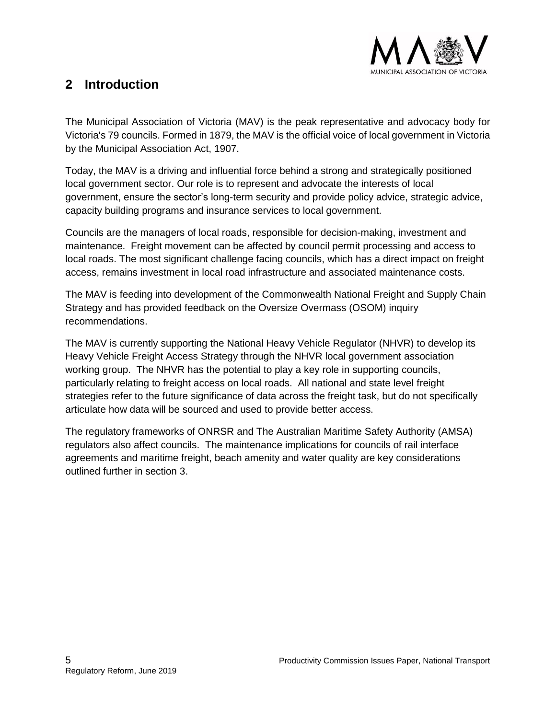

# <span id="page-4-0"></span>**2 Introduction**

The Municipal Association of Victoria (MAV) is the peak representative and advocacy body for Victoria's 79 councils. Formed in 1879, the MAV is the official voice of local government in Victoria by the Municipal Association Act, 1907.

Today, the MAV is a driving and influential force behind a strong and strategically positioned local government sector. Our role is to represent and advocate the interests of local government, ensure the sector's long-term security and provide policy advice, strategic advice, capacity building programs and insurance services to local government.

Councils are the managers of local roads, responsible for decision-making, investment and maintenance. Freight movement can be affected by council permit processing and access to local roads. The most significant challenge facing councils, which has a direct impact on freight access, remains investment in local road infrastructure and associated maintenance costs.

The MAV is feeding into development of the Commonwealth National Freight and Supply Chain Strategy and has provided feedback on the Oversize Overmass (OSOM) inquiry recommendations.

The MAV is currently supporting the National Heavy Vehicle Regulator (NHVR) to develop its Heavy Vehicle Freight Access Strategy through the NHVR local government association working group. The NHVR has the potential to play a key role in supporting councils, particularly relating to freight access on local roads. All national and state level freight strategies refer to the future significance of data across the freight task, but do not specifically articulate how data will be sourced and used to provide better access.

The regulatory frameworks of ONRSR and The Australian Maritime Safety Authority (AMSA) regulators also affect councils. The maintenance implications for councils of rail interface agreements and maritime freight, beach amenity and water quality are key considerations outlined further in section 3.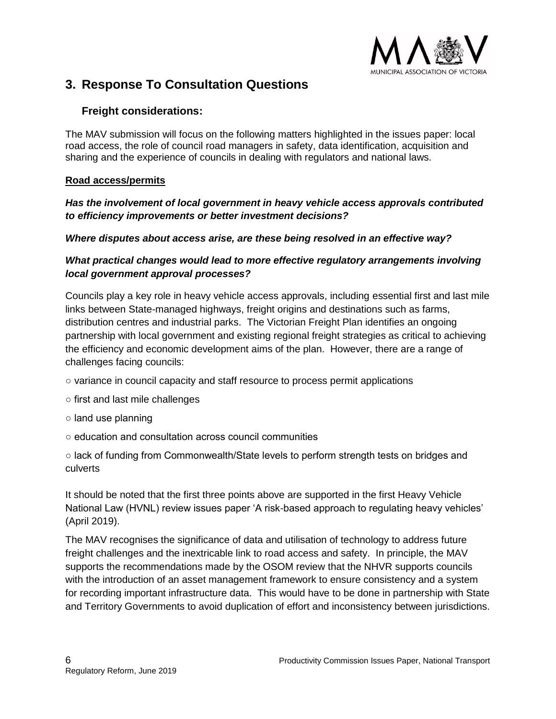

## <span id="page-5-0"></span>**3. Response To Consultation Questions**

## <span id="page-5-1"></span>**Freight considerations:**

The MAV submission will focus on the following matters highlighted in the issues paper: local road access, the role of council road managers in safety, data identification, acquisition and sharing and the experience of councils in dealing with regulators and national laws.

#### **Road access/permits**

#### *Has the involvement of local government in heavy vehicle access approvals contributed to efficiency improvements or better investment decisions?*

#### *Where disputes about access arise, are these being resolved in an effective way?*

## *What practical changes would lead to more effective regulatory arrangements involving local government approval processes?*

Councils play a key role in heavy vehicle access approvals, including essential first and last mile links between State-managed highways, freight origins and destinations such as farms, distribution centres and industrial parks. The Victorian Freight Plan identifies an ongoing partnership with local government and existing regional freight strategies as critical to achieving the efficiency and economic development aims of the plan. However, there are a range of challenges facing councils:

- variance in council capacity and staff resource to process permit applications
- first and last mile challenges
- land use planning
- education and consultation across council communities

○ lack of funding from Commonwealth/State levels to perform strength tests on bridges and culverts

It should be noted that the first three points above are supported in the first Heavy Vehicle National Law (HVNL) review issues paper 'A risk-based approach to regulating heavy vehicles' (April 2019).

The MAV recognises the significance of data and utilisation of technology to address future freight challenges and the inextricable link to road access and safety. In principle, the MAV supports the recommendations made by the OSOM review that the NHVR supports councils with the introduction of an asset management framework to ensure consistency and a system for recording important infrastructure data. This would have to be done in partnership with State and Territory Governments to avoid duplication of effort and inconsistency between jurisdictions.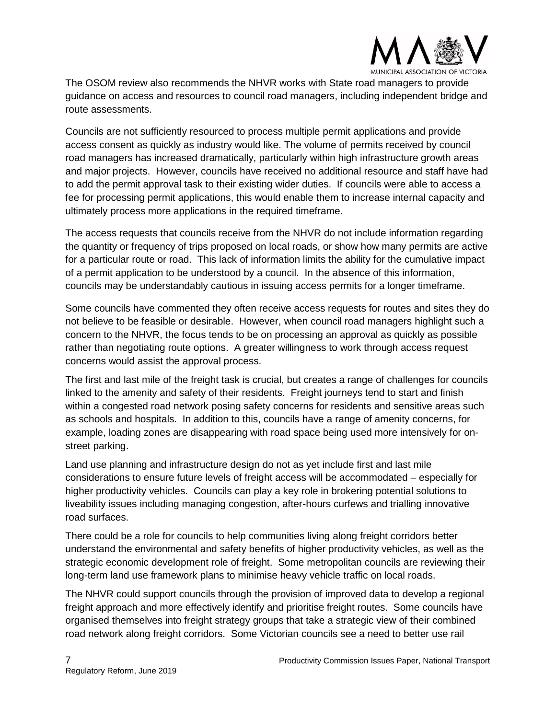

The OSOM review also recommends the NHVR works with State road managers to provide guidance on access and resources to council road managers, including independent bridge and route assessments.

Councils are not sufficiently resourced to process multiple permit applications and provide access consent as quickly as industry would like. The volume of permits received by council road managers has increased dramatically, particularly within high infrastructure growth areas and major projects. However, councils have received no additional resource and staff have had to add the permit approval task to their existing wider duties. If councils were able to access a fee for processing permit applications, this would enable them to increase internal capacity and ultimately process more applications in the required timeframe.

The access requests that councils receive from the NHVR do not include information regarding the quantity or frequency of trips proposed on local roads, or show how many permits are active for a particular route or road. This lack of information limits the ability for the cumulative impact of a permit application to be understood by a council. In the absence of this information, councils may be understandably cautious in issuing access permits for a longer timeframe.

Some councils have commented they often receive access requests for routes and sites they do not believe to be feasible or desirable. However, when council road managers highlight such a concern to the NHVR, the focus tends to be on processing an approval as quickly as possible rather than negotiating route options. A greater willingness to work through access request concerns would assist the approval process.

The first and last mile of the freight task is crucial, but creates a range of challenges for councils linked to the amenity and safety of their residents. Freight journeys tend to start and finish within a congested road network posing safety concerns for residents and sensitive areas such as schools and hospitals. In addition to this, councils have a range of amenity concerns, for example, loading zones are disappearing with road space being used more intensively for onstreet parking.

Land use planning and infrastructure design do not as yet include first and last mile considerations to ensure future levels of freight access will be accommodated – especially for higher productivity vehicles. Councils can play a key role in brokering potential solutions to liveability issues including managing congestion, after-hours curfews and trialling innovative road surfaces.

There could be a role for councils to help communities living along freight corridors better understand the environmental and safety benefits of higher productivity vehicles, as well as the strategic economic development role of freight. Some metropolitan councils are reviewing their long-term land use framework plans to minimise heavy vehicle traffic on local roads.

The NHVR could support councils through the provision of improved data to develop a regional freight approach and more effectively identify and prioritise freight routes. Some councils have organised themselves into freight strategy groups that take a strategic view of their combined road network along freight corridors. Some Victorian councils see a need to better use rail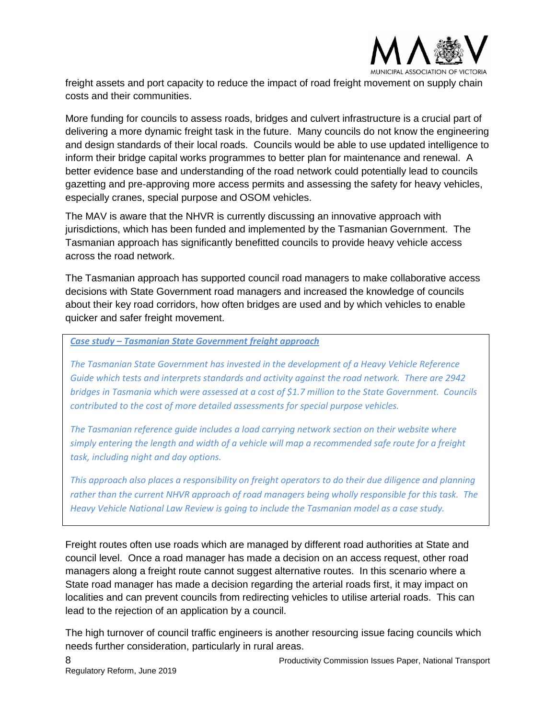

freight assets and port capacity to reduce the impact of road freight movement on supply chain costs and their communities.

More funding for councils to assess roads, bridges and culvert infrastructure is a crucial part of delivering a more dynamic freight task in the future. Many councils do not know the engineering and design standards of their local roads. Councils would be able to use updated intelligence to inform their bridge capital works programmes to better plan for maintenance and renewal. A better evidence base and understanding of the road network could potentially lead to councils gazetting and pre-approving more access permits and assessing the safety for heavy vehicles, especially cranes, special purpose and OSOM vehicles.

The MAV is aware that the NHVR is currently discussing an innovative approach with jurisdictions, which has been funded and implemented by the Tasmanian Government. The Tasmanian approach has significantly benefitted councils to provide heavy vehicle access across the road network.

The Tasmanian approach has supported council road managers to make collaborative access decisions with State Government road managers and increased the knowledge of councils about their key road corridors, how often bridges are used and by which vehicles to enable quicker and safer freight movement.

#### *Case study – Tasmanian State Government freight approach*

*The Tasmanian State Government has invested in the development of a Heavy Vehicle Reference Guide which tests and interprets standards and activity against the road network. There are 2942 bridges in Tasmania which were assessed at a cost of \$1.7 million to the State Government. Councils contributed to the cost of more detailed assessments for special purpose vehicles.* 

*The Tasmanian reference guide includes a load carrying network section on their website where simply entering the length and width of a vehicle will map a recommended safe route for a freight task, including night and day options.* 

*This approach also places a responsibility on freight operators to do their due diligence and planning rather than the current NHVR approach of road managers being wholly responsible for this task. The Heavy Vehicle National Law Review is going to include the Tasmanian model as a case study.*

Freight routes often use roads which are managed by different road authorities at State and council level. Once a road manager has made a decision on an access request, other road managers along a freight route cannot suggest alternative routes. In this scenario where a State road manager has made a decision regarding the arterial roads first, it may impact on localities and can prevent councils from redirecting vehicles to utilise arterial roads. This can lead to the rejection of an application by a council.

The high turnover of council traffic engineers is another resourcing issue facing councils which needs further consideration, particularly in rural areas.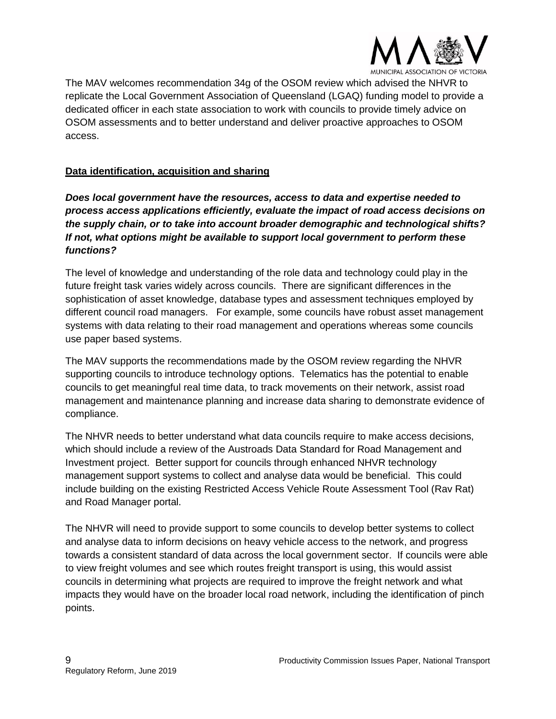

The MAV welcomes recommendation 34g of the OSOM review which advised the NHVR to replicate the Local Government Association of Queensland (LGAQ) funding model to provide a dedicated officer in each state association to work with councils to provide timely advice on OSOM assessments and to better understand and deliver proactive approaches to OSOM access.

#### **Data identification, acquisition and sharing**

*Does local government have the resources, access to data and expertise needed to process access applications efficiently, evaluate the impact of road access decisions on the supply chain, or to take into account broader demographic and technological shifts? If not, what options might be available to support local government to perform these functions?*

The level of knowledge and understanding of the role data and technology could play in the future freight task varies widely across councils. There are significant differences in the sophistication of asset knowledge, database types and assessment techniques employed by different council road managers. For example, some councils have robust asset management systems with data relating to their road management and operations whereas some councils use paper based systems.

The MAV supports the recommendations made by the OSOM review regarding the NHVR supporting councils to introduce technology options. Telematics has the potential to enable councils to get meaningful real time data, to track movements on their network, assist road management and maintenance planning and increase data sharing to demonstrate evidence of compliance.

The NHVR needs to better understand what data councils require to make access decisions, which should include a review of the Austroads Data Standard for Road Management and Investment project. Better support for councils through enhanced NHVR technology management support systems to collect and analyse data would be beneficial. This could include building on the existing Restricted Access Vehicle Route Assessment Tool (Rav Rat) and Road Manager portal.

The NHVR will need to provide support to some councils to develop better systems to collect and analyse data to inform decisions on heavy vehicle access to the network, and progress towards a consistent standard of data across the local government sector. If councils were able to view freight volumes and see which routes freight transport is using, this would assist councils in determining what projects are required to improve the freight network and what impacts they would have on the broader local road network, including the identification of pinch points.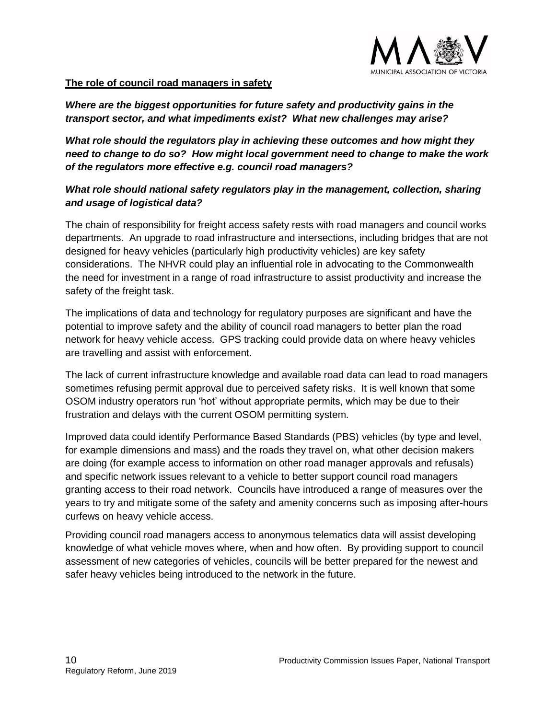

#### **The role of council road managers in safety**

*Where are the biggest opportunities for future safety and productivity gains in the transport sector, and what impediments exist? What new challenges may arise?*

*What role should the regulators play in achieving these outcomes and how might they need to change to do so? How might local government need to change to make the work of the regulators more effective e.g. council road managers?*

## *What role should national safety regulators play in the management, collection, sharing and usage of logistical data?*

The chain of responsibility for freight access safety rests with road managers and council works departments. An upgrade to road infrastructure and intersections, including bridges that are not designed for heavy vehicles (particularly high productivity vehicles) are key safety considerations. The NHVR could play an influential role in advocating to the Commonwealth the need for investment in a range of road infrastructure to assist productivity and increase the safety of the freight task.

The implications of data and technology for regulatory purposes are significant and have the potential to improve safety and the ability of council road managers to better plan the road network for heavy vehicle access. GPS tracking could provide data on where heavy vehicles are travelling and assist with enforcement.

The lack of current infrastructure knowledge and available road data can lead to road managers sometimes refusing permit approval due to perceived safety risks. It is well known that some OSOM industry operators run 'hot' without appropriate permits, which may be due to their frustration and delays with the current OSOM permitting system.

Improved data could identify Performance Based Standards (PBS) vehicles (by type and level, for example dimensions and mass) and the roads they travel on, what other decision makers are doing (for example access to information on other road manager approvals and refusals) and specific network issues relevant to a vehicle to better support council road managers granting access to their road network. Councils have introduced a range of measures over the years to try and mitigate some of the safety and amenity concerns such as imposing after-hours curfews on heavy vehicle access.

Providing council road managers access to anonymous telematics data will assist developing knowledge of what vehicle moves where, when and how often. By providing support to council assessment of new categories of vehicles, councils will be better prepared for the newest and safer heavy vehicles being introduced to the network in the future.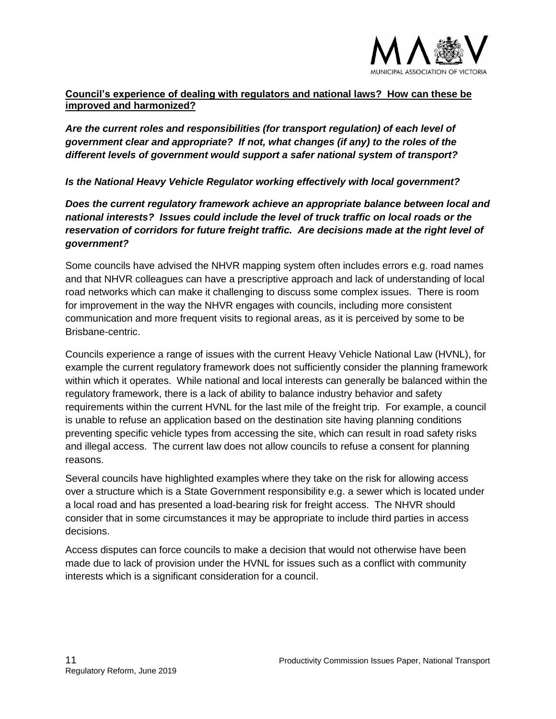

#### **Council's experience of dealing with regulators and national laws? How can these be improved and harmonized?**

*Are the current roles and responsibilities (for transport regulation) of each level of government clear and appropriate? If not, what changes (if any) to the roles of the different levels of government would support a safer national system of transport?*

*Is the National Heavy Vehicle Regulator working effectively with local government?*

*Does the current regulatory framework achieve an appropriate balance between local and national interests? Issues could include the level of truck traffic on local roads or the reservation of corridors for future freight traffic. Are decisions made at the right level of government?*

Some councils have advised the NHVR mapping system often includes errors e.g. road names and that NHVR colleagues can have a prescriptive approach and lack of understanding of local road networks which can make it challenging to discuss some complex issues. There is room for improvement in the way the NHVR engages with councils, including more consistent communication and more frequent visits to regional areas, as it is perceived by some to be Brisbane-centric.

Councils experience a range of issues with the current Heavy Vehicle National Law (HVNL), for example the current regulatory framework does not sufficiently consider the planning framework within which it operates. While national and local interests can generally be balanced within the regulatory framework, there is a lack of ability to balance industry behavior and safety requirements within the current HVNL for the last mile of the freight trip. For example, a council is unable to refuse an application based on the destination site having planning conditions preventing specific vehicle types from accessing the site, which can result in road safety risks and illegal access. The current law does not allow councils to refuse a consent for planning reasons.

Several councils have highlighted examples where they take on the risk for allowing access over a structure which is a State Government responsibility e.g. a sewer which is located under a local road and has presented a load-bearing risk for freight access. The NHVR should consider that in some circumstances it may be appropriate to include third parties in access decisions.

Access disputes can force councils to make a decision that would not otherwise have been made due to lack of provision under the HVNL for issues such as a conflict with community interests which is a significant consideration for a council.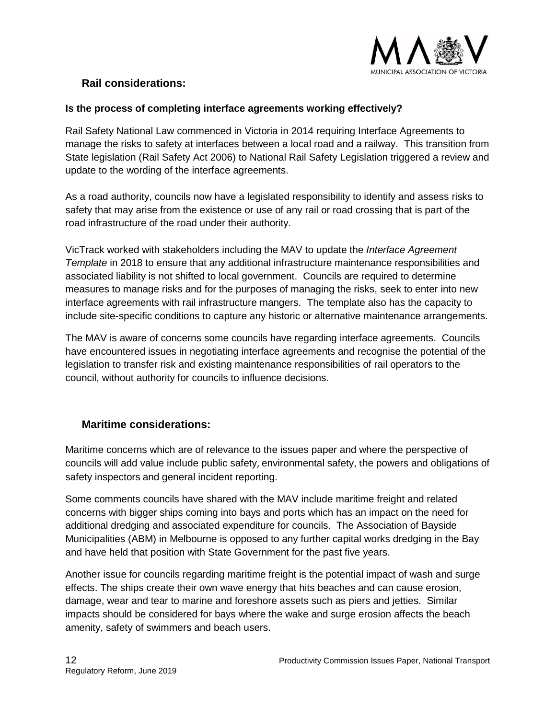

## <span id="page-11-0"></span>**Rail considerations:**

#### **Is the process of completing interface agreements working effectively?**

Rail Safety National Law commenced in Victoria in 2014 requiring Interface Agreements to manage the risks to safety at interfaces between a local road and a railway. This transition from State legislation (Rail Safety Act 2006) to National Rail Safety Legislation triggered a review and update to the wording of the interface agreements.

As a road authority, councils now have a legislated responsibility to identify and assess risks to safety that may arise from the existence or use of any rail or road crossing that is part of the road infrastructure of the road under their authority.

VicTrack worked with stakeholders including the MAV to update the *Interface Agreement Template* in 2018 to ensure that any additional infrastructure maintenance responsibilities and associated liability is not shifted to local government. Councils are required to determine measures to manage risks and for the purposes of managing the risks, seek to enter into new interface agreements with rail infrastructure mangers. The template also has the capacity to include site-specific conditions to capture any historic or alternative maintenance arrangements.

The MAV is aware of concerns some councils have regarding interface agreements. Councils have encountered issues in negotiating interface agreements and recognise the potential of the legislation to transfer risk and existing maintenance responsibilities of rail operators to the council, without authority for councils to influence decisions.

## <span id="page-11-1"></span>**Maritime considerations:**

Maritime concerns which are of relevance to the issues paper and where the perspective of councils will add value include public safety, environmental safety, the powers and obligations of safety inspectors and general incident reporting.

Some comments councils have shared with the MAV include maritime freight and related concerns with bigger ships coming into bays and ports which has an impact on the need for additional dredging and associated expenditure for councils. The Association of Bayside Municipalities (ABM) in Melbourne is opposed to any further capital works dredging in the Bay and have held that position with State Government for the past five years.

Another issue for councils regarding maritime freight is the potential impact of wash and surge effects. The ships create their own wave energy that hits beaches and can cause erosion, damage, wear and tear to marine and foreshore assets such as piers and jetties. Similar impacts should be considered for bays where the wake and surge erosion affects the beach amenity, safety of swimmers and beach users.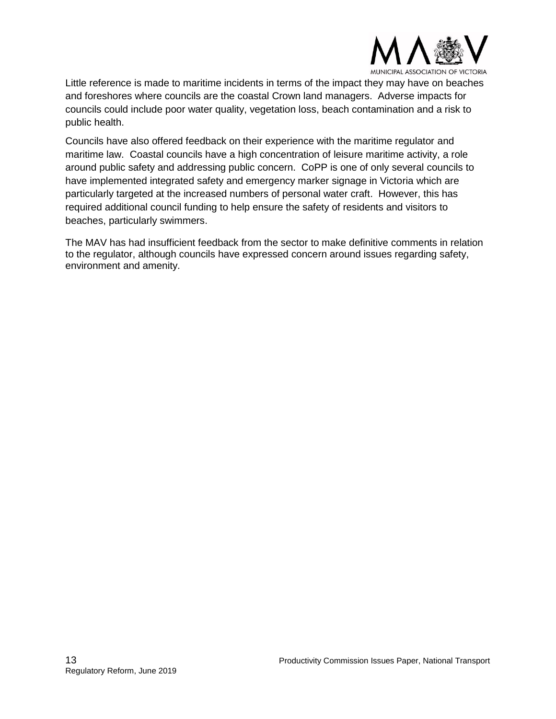

Little reference is made to maritime incidents in terms of the impact they may have on beaches and foreshores where councils are the coastal Crown land managers. Adverse impacts for councils could include poor water quality, vegetation loss, beach contamination and a risk to public health.

Councils have also offered feedback on their experience with the maritime regulator and maritime law. Coastal councils have a high concentration of leisure maritime activity, a role around public safety and addressing public concern. CoPP is one of only several councils to have implemented integrated safety and emergency marker signage in Victoria which are particularly targeted at the increased numbers of personal water craft. However, this has required additional council funding to help ensure the safety of residents and visitors to beaches, particularly swimmers.

The MAV has had insufficient feedback from the sector to make definitive comments in relation to the regulator, although councils have expressed concern around issues regarding safety, environment and amenity.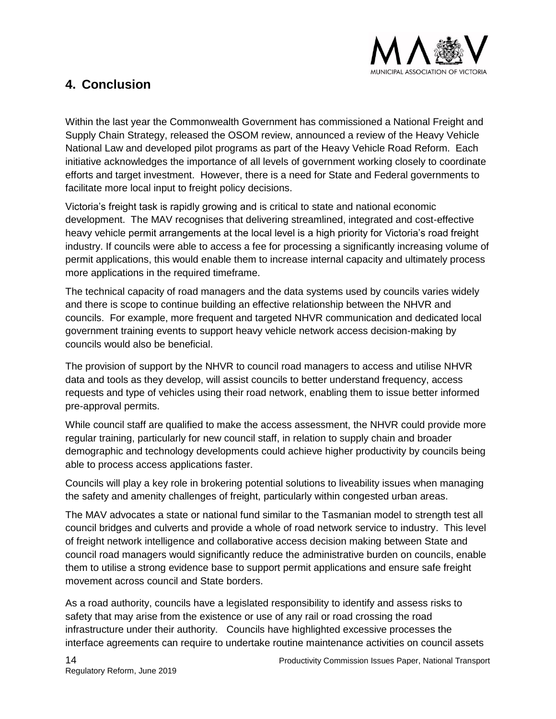

# <span id="page-13-0"></span>**4. Conclusion**

Within the last year the Commonwealth Government has commissioned a National Freight and Supply Chain Strategy, released the OSOM review, announced a review of the Heavy Vehicle National Law and developed pilot programs as part of the Heavy Vehicle Road Reform. Each initiative acknowledges the importance of all levels of government working closely to coordinate efforts and target investment. However, there is a need for State and Federal governments to facilitate more local input to freight policy decisions.

Victoria's freight task is rapidly growing and is critical to state and national economic development. The MAV recognises that delivering streamlined, integrated and cost-effective heavy vehicle permit arrangements at the local level is a high priority for Victoria's road freight industry. If councils were able to access a fee for processing a significantly increasing volume of permit applications, this would enable them to increase internal capacity and ultimately process more applications in the required timeframe.

The technical capacity of road managers and the data systems used by councils varies widely and there is scope to continue building an effective relationship between the NHVR and councils. For example, more frequent and targeted NHVR communication and dedicated local government training events to support heavy vehicle network access decision-making by councils would also be beneficial.

The provision of support by the NHVR to council road managers to access and utilise NHVR data and tools as they develop, will assist councils to better understand frequency, access requests and type of vehicles using their road network, enabling them to issue better informed pre-approval permits.

While council staff are qualified to make the access assessment, the NHVR could provide more regular training, particularly for new council staff, in relation to supply chain and broader demographic and technology developments could achieve higher productivity by councils being able to process access applications faster.

Councils will play a key role in brokering potential solutions to liveability issues when managing the safety and amenity challenges of freight, particularly within congested urban areas.

The MAV advocates a state or national fund similar to the Tasmanian model to strength test all council bridges and culverts and provide a whole of road network service to industry. This level of freight network intelligence and collaborative access decision making between State and council road managers would significantly reduce the administrative burden on councils, enable them to utilise a strong evidence base to support permit applications and ensure safe freight movement across council and State borders.

As a road authority, councils have a legislated responsibility to identify and assess risks to safety that may arise from the existence or use of any rail or road crossing the road infrastructure under their authority. Councils have highlighted excessive processes the interface agreements can require to undertake routine maintenance activities on council assets